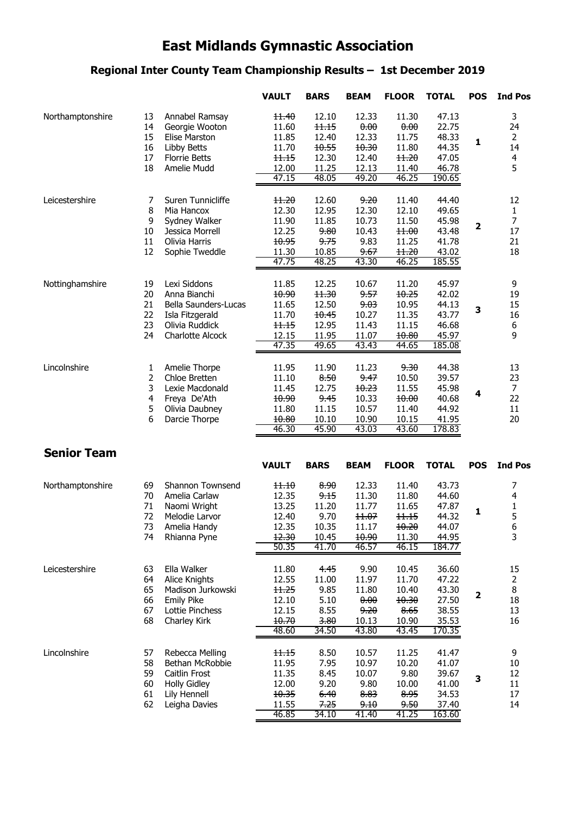# **East Midlands Gymnastic Association**

#### **Regional Inter County Team Championship Results – 1st December 2019**

|                    |    |                         | <b>VAULT</b>   | <b>BARS</b>    | <b>BEAM</b>    | <b>FLOOR</b>   | <b>TOTAL</b>    | <b>POS</b>   | <b>Ind Pos</b>          |
|--------------------|----|-------------------------|----------------|----------------|----------------|----------------|-----------------|--------------|-------------------------|
| Northamptonshire   | 13 | Annabel Ramsay          | 11.40          | 12.10          | 12.33          | 11.30          | 47.13           |              | 3                       |
|                    | 14 | Georgie Wooton          | 11.60          | 11.15          | 0.00           | 0.00           | 22.75           |              | 24                      |
|                    | 15 | Elise Marston           | 11.85          | 12.40          | 12.33          | 11.75          | 48.33           | $\mathbf{1}$ | $\overline{2}$          |
|                    | 16 | Libby Betts             | 11.70          | 10.55          | 10.30          | 11.80          | 44.35           |              | 14                      |
|                    | 17 | <b>Florrie Betts</b>    | 11.15          | 12.30          | 12.40          | 11.20          | 47.05           |              | $\overline{\mathbf{4}}$ |
|                    | 18 | Amelie Mudd             | 12.00          | 11.25          | 12.13          | 11.40          | 46.78           |              | 5                       |
|                    |    |                         | 47.15          | 48.05          | 49.20          | 46.25          | 190.65          |              |                         |
| Leicestershire     | 7  | Suren Tunnicliffe       | 11.20          | 12.60          | 9.20           | 11.40          | 44.40           |              | 12                      |
|                    | 8  | Mia Hancox              | 12.30          | 12.95          | 12.30          | 12.10          | 49.65           |              | $\mathbf{1}$            |
|                    | 9  | Sydney Walker           | 11.90          | 11.85          | 10.73          | 11.50          | 45.98           | $\mathbf{2}$ | $\overline{7}$          |
|                    | 10 | Jessica Morrell         | 12.25          | 9.80           | 10.43          | 11.00          | 43.48           |              | 17                      |
|                    | 11 | Olivia Harris           | 10.95          | 9.75           | 9.83           | 11.25          | 41.78           |              | 21                      |
|                    | 12 | Sophie Tweddle          | 11.30          | 10.85          | 9.67           | 11.20          | 43.02           |              | 18                      |
|                    |    |                         | 47.75          | 48.25          | 43.30          | 46.25          | 185.55          |              |                         |
| Nottinghamshire    | 19 | Lexi Siddons            | 11.85          | 12.25          | 10.67          | 11.20          | 45.97           |              | 9                       |
|                    | 20 | Anna Bianchi            | 10.90          | 11.30          | 9.57           | 10.25          | 42.02           |              | 19                      |
|                    | 21 | Bella Saunders-Lucas    | 11.65          | 12.50          | 9.03           | 10.95          | 44.13           | 3            | 15                      |
|                    | 22 | Isla Fitzgerald         | 11.70          | 10.45          | 10.27          | 11.35          | 43.77           |              | 16                      |
|                    | 23 | Olivia Ruddick          | 11.15          | 12.95          | 11.43          | 11.15          | 46.68           |              | 6                       |
|                    | 24 | <b>Charlotte Alcock</b> | 12.15          | 11.95          | 11.07          | 10.80          | 45.97           |              | 9                       |
|                    |    |                         | 47.35          | 49.65          | 43.43          | 44.65          | 185.08          |              |                         |
| Lincolnshire       | 1  | Amelie Thorpe           | 11.95          | 11.90          | 11.23          | 9.30           | 44.38           |              | 13                      |
|                    | 2  | Chloe Bretten           | 11.10          | 8.50           | 9.47           | 10.50          | 39.57           |              | 23                      |
|                    | 3  | Lexie Macdonald         | 11.45          | 12.75          | 10.23          | 11.55          | 45.98           |              | $\overline{7}$          |
|                    | 4  | Freya De'Ath            | 10.90          | 9.45           | 10.33          | 10.00          | 40.68           | 4            | 22                      |
|                    | 5  | Olivia Daubney          | 11.80          | 11.15          | 10.57          | 11.40          | 44.92           |              | 11                      |
|                    | 6  | Darcie Thorpe           | 10.80<br>46.30 | 10.10<br>45.90 | 10.90<br>43.03 | 10.15<br>43.60 | 41.95<br>178.83 |              | 20                      |
|                    |    |                         |                |                |                |                |                 |              |                         |
| <b>Senior Team</b> |    |                         |                |                |                |                |                 |              |                         |
|                    |    |                         | <b>VAULT</b>   | <b>BARS</b>    | <b>BEAM</b>    | <b>FLOOR</b>   | <b>TOTAL</b>    | <b>POS</b>   | <b>Ind Pos</b>          |
| Northamptonshire   | 69 | Shannon Townsend        | 11.10          | 8.90           | 12.33          | 11.40          | 43.73           |              | 7                       |
|                    | 70 | Amelia Carlaw           | 12.35          | 9.15           | 11.30          | 11.80          | 44.60           |              | 4                       |
|                    | 71 | Naomi Wright            | 13.25          | 11.20          | 11.77          | 11.65          | 47.87           | 1            | $\mathbf{1}$            |
|                    | 72 | Melodie Larvor          | 12.40          | 9.70           | 11.07          | 11.15          | 44.32           |              | 5                       |
|                    | 73 | Amelia Handy            | 12.35          | 10.35          | 11.17          | 10.20          | 44.07           |              | 6                       |
|                    | 74 | Rhianna Pyne            | 12.30<br>50.35 | 10.45<br>41.70 | 10.90<br>46.57 | 11.30<br>46.15 | 44.95<br>184.77 |              | 3                       |
|                    |    |                         |                |                |                |                |                 |              |                         |
| Leicestershire     | 63 | Ella Walker             | 11.80          | 4.45           | 9.90           | 10.45          | 36.60           |              | 15                      |
|                    | 64 | Alice Knights           | 12.55          | 11.00          | 11.97          | 11.70          | 47.22           |              | $\overline{2}$          |
|                    | 65 | Madison Jurkowski       | 11.25          | 9.85           | 11.80          | 10.40          | 43.30           | $\mathbf{2}$ | 8                       |
|                    | 66 | <b>Emily Pike</b>       | 12.10          | 5.10           | 0.00           | 10.30          | 27.50           |              | 18                      |
|                    | 67 | Lottie Pinchess         | 12.15          | 8.55           | 9.20           | 8.65           | 38.55           |              | 13                      |
|                    | 68 | Charley Kirk            | 10.70          | 3.80           | 10.13          | 10.90          | 35.53           |              | 16                      |
|                    |    |                         | 48.60          | 34.50          | 43.80          | 43.45          | 170.35          |              |                         |
| Lincolnshire       | 57 | Rebecca Melling         | 11.15          | 8.50           | 10.57          | 11.25          | 41.47           |              | 9                       |
|                    | 58 | Bethan McRobbie         | 11.95          | 7.95           | 10.97          | 10.20          | 41.07           |              | $10\,$                  |
|                    | 59 | Caitlin Frost           | 11.35          | 8.45           | 10.07          | 9.80           | 39.67           | 3            | 12                      |
|                    | 60 | <b>Holly Gidley</b>     | 12.00          | 9.20           | 9.80           | 10.00          | 41.00           |              | 11                      |
|                    | 61 | Lily Hennell            | 10.35          | 6.40           | 8.83           | 8.95           | 34.53           |              | 17                      |
|                    | 62 | Leigha Davies           | 11.55          | 7.25           | 9.10           | 9.50           | 37.40           |              | 14                      |
|                    |    |                         | 46.85          | 34.10          | 41.40          | 41.25          | 163.60          |              |                         |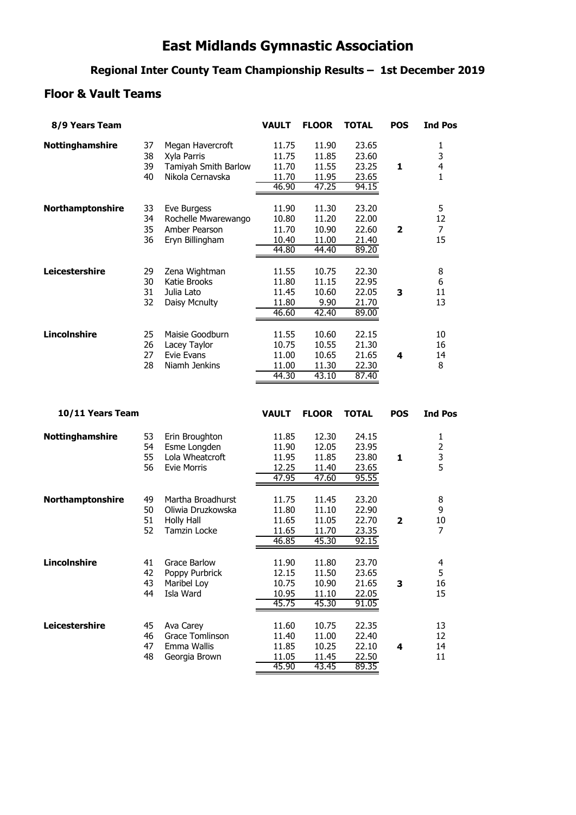## **East Midlands Gymnastic Association**

#### **Regional Inter County Team Championship Results – 1st December 2019**

#### **Floor & Vault Teams**

| 8/9 Years Team      |                      |                                                                                    | <b>VAULT</b>                              | <b>FLOOR</b>                              | <b>TOTAL</b>                              | <b>POS</b>              | <b>Ind Pos</b>                         |
|---------------------|----------------------|------------------------------------------------------------------------------------|-------------------------------------------|-------------------------------------------|-------------------------------------------|-------------------------|----------------------------------------|
| Nottinghamshire     | 37<br>38<br>39<br>40 | Megan Havercroft<br>Xyla Parris<br>Tamiyah Smith Barlow<br>Nikola Cernavska        | 11.75<br>11.75<br>11.70<br>11.70<br>46.90 | 11.90<br>11.85<br>11.55<br>11.95<br>47.25 | 23.65<br>23.60<br>23.25<br>23.65<br>94.15 | 1                       | 1<br>3<br>4<br>1                       |
| Northamptonshire    | 33<br>34<br>35<br>36 | Eve Burgess<br>Rochelle Mwarewango<br>Amber Pearson<br>Eryn Billingham             | 11.90<br>10.80<br>11.70<br>10.40<br>44.80 | 11.30<br>11.20<br>10.90<br>11.00<br>44.40 | 23.20<br>22.00<br>22.60<br>21.40<br>89.20 | 2                       | 5<br>12<br>7<br>15                     |
| Leicestershire      | 29<br>30<br>31<br>32 | Zena Wightman<br>Katie Brooks<br>Julia Lato<br>Daisy Mcnulty                       | 11.55<br>11.80<br>11.45<br>11.80<br>46.60 | 10.75<br>11.15<br>10.60<br>9.90<br>42.40  | 22.30<br>22.95<br>22.05<br>21.70<br>89.00 | 3                       | 8<br>6<br>11<br>13                     |
| <b>Lincolnshire</b> | 25<br>26<br>27<br>28 | Maisie Goodburn<br>Lacey Taylor<br><b>Evie Evans</b><br>Niamh Jenkins              | 11.55<br>10.75<br>11.00<br>11.00<br>44.30 | 10.60<br>10.55<br>10.65<br>11.30<br>43.10 | 22.15<br>21.30<br>21.65<br>22.30<br>87.40 | 4                       | 10<br>16<br>14<br>8                    |
| 10/11 Years Team    |                      |                                                                                    | <b>VAULT</b>                              | <b>FLOOR</b>                              | <b>TOTAL</b>                              | <b>POS</b>              | <b>Ind Pos</b>                         |
|                     |                      |                                                                                    |                                           |                                           |                                           |                         |                                        |
| Nottinghamshire     | 53<br>54<br>55<br>56 | Erin Broughton<br>Esme Longden<br>Lola Wheatcroft<br><b>Evie Morris</b>            | 11.85<br>11.90<br>11.95<br>12.25<br>47.95 | 12.30<br>12.05<br>11.85<br>11.40<br>47.60 | 24.15<br>23.95<br>23.80<br>23.65<br>95.55 | 1                       | 1<br>$\overline{\mathbf{c}}$<br>3<br>5 |
| Northamptonshire    | 49<br>50<br>51<br>52 | Martha Broadhurst<br>Oliwia Druzkowska<br><b>Holly Hall</b><br><b>Tamzin Locke</b> | 11.75<br>11.80<br>11.65<br>11.65<br>46.85 | 11.45<br>11.10<br>11.05<br>11.70<br>45.30 | 23.20<br>22.90<br>22.70<br>23.35<br>92.15 | $\overline{\mathbf{2}}$ | 8<br>9<br>10<br>7                      |
| <b>Lincolnshire</b> | 41<br>42<br>43<br>44 | Grace Barlow<br>Poppy Purbrick<br>Maribel Loy<br>Isla Ward                         | 11.90<br>12.15<br>10.75<br>10.95<br>45.75 | 11.80<br>11.50<br>10.90<br>11.10<br>45.30 | 23.70<br>23.65<br>21.65<br>22.05<br>91.05 | 3                       | 4<br>5<br>16<br>15                     |